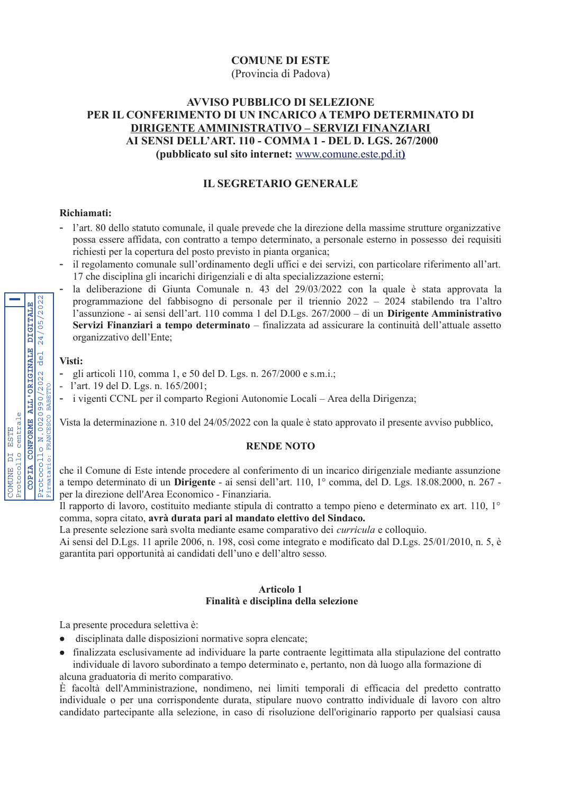# **COMUNE DI ESTE**

(Provincia di Padova)

# **AVVISO PUBBLICO DI SELEZIONE** PER IL CONFERIMENTO DI UN INCARICO A TEMPO DETERMINATO DI **DIRIGENTE AMMINISTRATIVO - SERVIZI FINANZIARI** AI SENSI DELL'ART. 110 - COMMA 1 - DEL D. LGS. 267/2000 (pubblicato sul sito internet: www.comune.este.pd.it)

# **IL SEGRETARIO GENERALE**

## Richiamati:

- l'art. 80 dello statuto comunale, il quale prevede che la direzione della massime strutture organizzative possa essere affidata, con contratto a tempo determinato, a personale esterno in possesso dei requisiti richiesti per la copertura del posto previsto in pianta organica;
- il regolamento comunale sull'ordinamento degli uffici e dei servizi, con particolare riferimento all'art. 17 che disciplina gli incarichi dirigenziali e di alta specializzazione esterni;
- la deliberazione di Giunta Comunale n. 43 del 29/03/2022 con la quale è stata approvata la programmazione del fabbisogno di personale per il triennio 2022 - 2024 stabilendo tra l'altro l'assunzione - ai sensi dell'art. 110 comma 1 del D.Lgs. 267/2000 - di un Dirigente Amministrativo Servizi Finanziari a tempo determinato – finalizzata ad assicurare la continuità dell'attuale assetto organizzativo dell'Ente:

## Visti:

- gli articoli 110, comma 1, e 50 del D. Lgs. n. 267/2000 e s.m.i.;
- l'art. 19 del D. Lgs. n. 165/2001;
- i vigenti CCNL per il comparto Regioni Autonomie Locali Area della Dirigenza;

Vista la determinazione n. 310 del 24/05/2022 con la quale è stato approvato il presente avviso pubblico,

## **RENDE NOTO**

che il Comune di Este intende procedere al conferimento di un incarico dirigenziale mediante assunzione a tempo determinato di un **Dirigente** - ai sensi dell'art. 110, 1<sup>°</sup> comma, del D. Lgs. 18.08.2000, n. 267 per la direzione dell'Area Economico - Finanziaria.

Il rapporto di lavoro, costituito mediante stipula di contratto a tempo pieno e determinato ex art. 110, 1° comma, sopra citato, avrà durata pari al mandato elettivo del Sindaco.

La presente selezione sarà svolta mediante esame comparativo dei *curricula* e colloquio.

Ai sensi del D.Lgs. 11 aprile 2006, n. 198, così come integrato e modificato dal D.Lgs. 25/01/2010, n. 5, è garantita pari opportunità ai candidati dell'uno e dell'altro sesso.

#### **Articolo 1** Finalità e disciplina della selezione

La presente procedura selettiva è:

- · disciplinata dalle disposizioni normative sopra elencate;
- finalizzata esclusivamente ad individuare la parte contraente legittimata alla stipulazione del contratto individuale di lavoro subordinato a tempo determinato e, pertanto, non dà luogo alla formazione di alcuna graduatoria di merito comparativo.

È facoltà dell'Amministrazione, nondimeno, nei limiti temporali di efficacia del predetto contratto individuale o per una corrispondente durata, stipulare nuovo contratto individuale di lavoro con altro candidato partecipante alla selezione, in caso di risoluzione dell'originario rapporto per qualsiasi causa

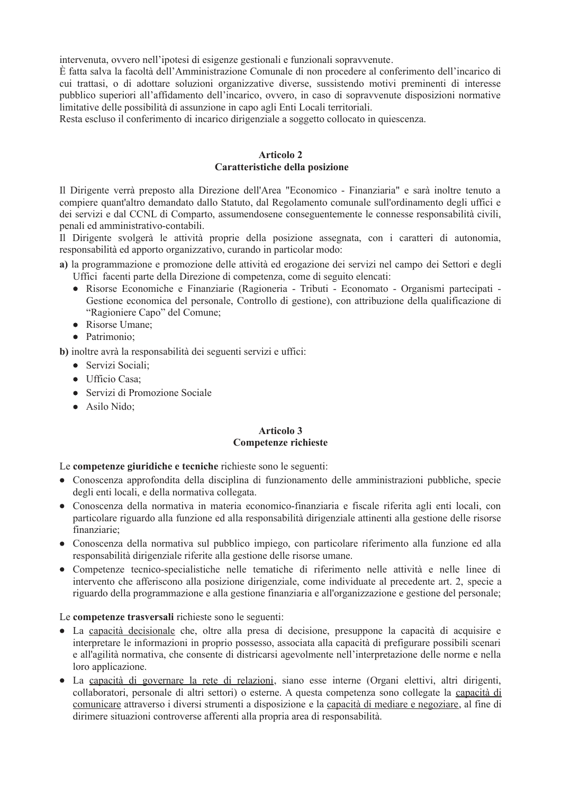intervenuta, ovvero nell'ipotesi di esigenze gestionali e funzionali sopravvenute.

È fatta salva la facoltà dell'Amministrazione Comunale di non procedere al conferimento dell'incarico di cui trattasi, o di adottare soluzioni organizzative diverse, sussistendo motivi preminenti di interesse pubblico superiori all'affidamento dell'incarico, ovvero, in caso di sopravvenute disposizioni normative limitative delle possibilità di assunzione in capo agli Enti Locali territoriali.

Resta escluso il conferimento di incarico dirigenziale a soggetto collocato in quiescenza.

# **Articolo 2** Caratteristiche della posizione

Il Dirigente verrà preposto alla Direzione dell'Area "Economico - Finanziaria" e sarà inoltre tenuto a compiere quant'altro demandato dallo Statuto, dal Regolamento comunale sull'ordinamento degli uffici e dei servizi e dal CCNL di Comparto, assumendosene conseguentemente le connesse responsabilità civili, penali ed amministrativo-contabili.

Il Dirigente svolgerà le attività proprie della posizione assegnata, con i caratteri di autonomia, responsabilità ed apporto organizzativo, curando in particolar modo:

a) la programmazione e promozione delle attività ed erogazione dei servizi nel campo dei Settori e degli Uffici facenti parte della Direzione di competenza, come di seguito elencati:

- Risorse Economiche e Finanziarie (Ragioneria Tributi Economato Organismi partecipati -Gestione economica del personale, Controllo di gestione), con attribuzione della qualificazione di "Ragioniere Capo" del Comune;
- Risorse Umane;
- Patrimonio:

b) inoltre avrà la responsabilità dei seguenti servizi e uffici:

- Servizi Sociali;
- Ufficio Casa:
- Servizi di Promozione Sociale
- Asilo Nido;

# **Articolo 3 Competenze richieste**

## Le competenze giuridiche e tecniche richieste sono le seguenti:

- Conoscenza approfondita della disciplina di funzionamento delle amministrazioni pubbliche, specie degli enti locali, e della normativa collegata.
- · Conoscenza della normativa in materia economico-finanziaria e fiscale riferita agli enti locali, con particolare riguardo alla funzione ed alla responsabilità dirigenziale attinenti alla gestione delle risorse finanziarie;
- Conoscenza della normativa sul pubblico impiego, con particolare riferimento alla funzione ed alla responsabilità dirigenziale riferite alla gestione delle risorse umane.
- · Competenze tecnico-specialistiche nelle tematiche di riferimento nelle attività e nelle linee di intervento che afferiscono alla posizione dirigenziale, come individuate al precedente art. 2, specie a riguardo della programmazione e alla gestione finanziaria e all'organizzazione e gestione del personale;

## Le competenze trasversali richieste sono le seguenti:

- La capacità decisionale che, oltre alla presa di decisione, presuppone la capacità di acquisire e interpretare le informazioni in proprio possesso, associata alla capacità di prefigurare possibili scenari e all'agilità normativa, che consente di districarsi agevolmente nell'interpretazione delle norme e nella loro applicazione.
- La capacità di governare la rete di relazioni, siano esse interne (Organi elettivi, altri dirigenti, collaboratori, personale di altri settori) o esterne. A questa competenza sono collegate la capacità di comunicare attraverso i diversi strumenti a disposizione e la capacità di mediare e negoziare, al fine di dirimere situazioni controverse afferenti alla propria area di responsabilità.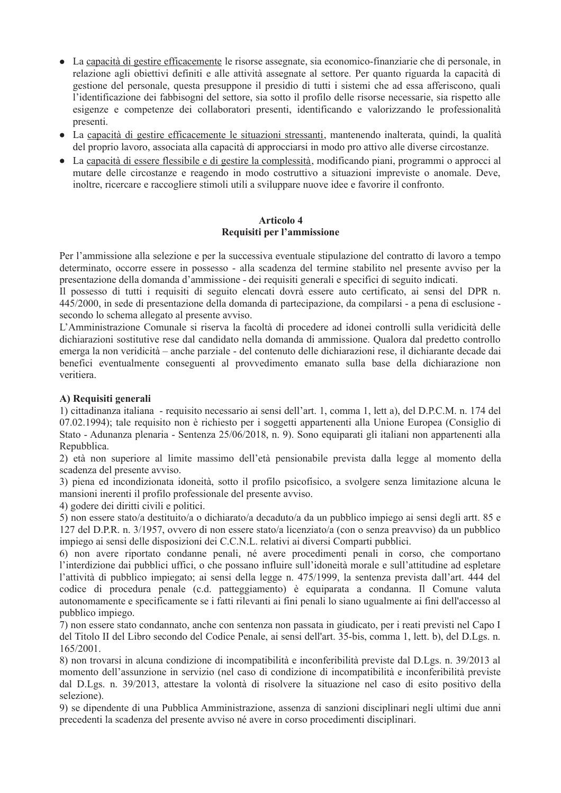- La capacità di gestire efficacemente le risorse assegnate, sia economico-finanziarie che di personale, in relazione agli obiettivi definiti e alle attività assegnate al settore. Per quanto riguarda la capacità di gestione del personale, questa presuppone il presidio di tutti i sistemi che ad essa afferiscono, quali l'identificazione dei fabbisogni del settore, sia sotto il profilo delle risorse necessarie, sia rispetto alle esigenze e competenze dei collaboratori presenti, identificando e valorizzando le professionalità presenti.
- La capacità di gestire efficacemente le situazioni stressanti, mantenendo inalterata, quindi, la qualità del proprio lavoro, associata alla capacità di approcciarsi in modo pro attivo alle diverse circostanze.
- La capacità di essere flessibile e di gestire la complessità, modificando piani, programmi o approcci al mutare delle circostanze e reagendo in modo costruttivo a situazioni impreviste o anomale. Deve, inoltre, ricercare e raccogliere stimoli utili a sviluppare nuove idee e favorire il confronto.

### **Articolo 4** Requisiti per l'ammissione

Per l'ammissione alla selezione e per la successiva eventuale stipulazione del contratto di lavoro a tempo determinato, occorre essere in possesso - alla scadenza del termine stabilito nel presente avviso per la presentazione della domanda d'ammissione - dei requisiti generali e specifici di seguito indicati.

Il possesso di tutti i requisiti di seguito elencati dovrà essere auto certificato, ai sensi del DPR n. 445/2000, in sede di presentazione della domanda di partecipazione, da compilarsi - a pena di esclusione secondo lo schema allegato al presente avviso.

L'Amministrazione Comunale si riserva la facoltà di procedere ad idonei controlli sulla veridicità delle dichiarazioni sostitutive rese dal candidato nella domanda di ammissione. Qualora dal predetto controllo emerga la non veridicità – anche parziale - del contenuto delle dichiarazioni rese, il dichiarante decade dai benefici eventualmente conseguenti al provvedimento emanato sulla base della dichiarazione non veritiera.

# A) Requisiti generali

1) cittadinanza italiana - requisito necessario ai sensi dell'art. 1, comma 1, lett a), del D.P.C.M. n. 174 del 07.02.1994); tale requisito non è richiesto per i soggetti appartenenti alla Unione Europea (Consiglio di Stato - Adunanza plenaria - Sentenza 25/06/2018, n. 9). Sono equiparati gli italiani non appartenenti alla Repubblica.

2) età non superiore al limite massimo dell'età pensionabile prevista dalla legge al momento della scadenza del presente avviso.

3) piena ed incondizionata idoneità, sotto il profilo psicofisico, a svolgere senza limitazione alcuna le mansioni inerenti il profilo professionale del presente avviso.

4) godere dei diritti civili e politici.

5) non essere stato/a destituito/a o dichiarato/a decaduto/a da un pubblico impiego ai sensi degli artt. 85 e 127 del D.P.R. n. 3/1957, ovvero di non essere stato/a licenziato/a (con o senza preavviso) da un pubblico impiego ai sensi delle disposizioni dei C.C.N.L. relativi ai diversi Comparti pubblici.

6) non avere riportato condanne penali, né avere procedimenti penali in corso, che comportano l'interdizione dai pubblici uffici, o che possano influire sull'idoneità morale e sull'attitudine ad espletare l'attività di pubblico impiegato; ai sensi della legge n. 475/1999, la sentenza prevista dall'art. 444 del codice di procedura penale (c.d. patteggiamento) è equiparata a condanna. Il Comune valuta autonomamente e specificamente se i fatti rilevanti ai fini penali lo siano ugualmente ai fini dell'accesso al pubblico impiego.

7) non essere stato condannato, anche con sentenza non passata in giudicato, per i reati previsti nel Capo I del Titolo II del Libro secondo del Codice Penale, ai sensi dell'art. 35-bis, comma 1, lett. b), del D.Lgs. n.  $165/2001$ .

8) non trovarsi in alcuna condizione di incompatibilità e inconferibilità previste dal D.Lgs. n. 39/2013 al momento dell'assunzione in servizio (nel caso di condizione di incompatibilità e inconferibilità previste dal D.Lgs. n. 39/2013, attestare la volontà di risolvere la situazione nel caso di esito positivo della selezione).

9) se dipendente di una Pubblica Amministrazione, assenza di sanzioni disciplinari negli ultimi due anni precedenti la scadenza del presente avviso né avere in corso procedimenti disciplinari.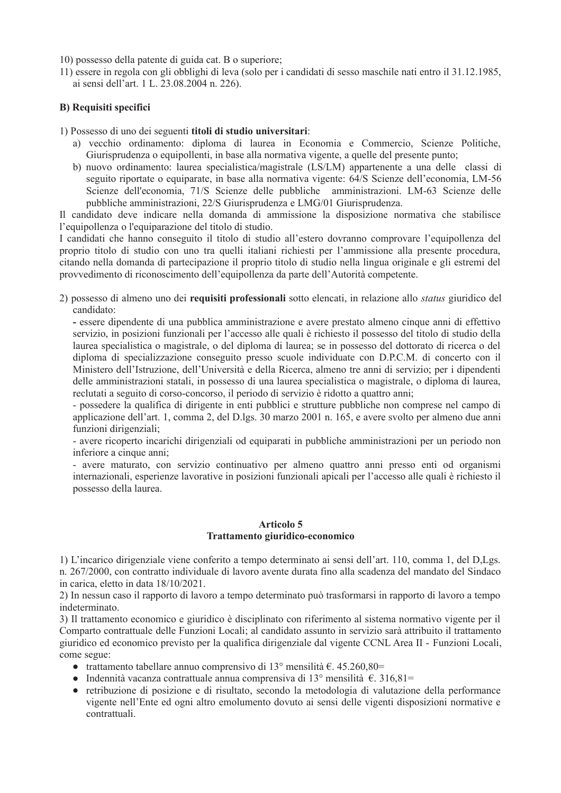10) possesso della patente di guida cat. B o superiore;

11) essere in regola con gli obblighi di leva (solo per i candidati di sesso maschile nati entro il 31.12.1985, ai sensi dell'art. 1 L. 23.08.2004 n. 226).

# **B)** Requisiti specifici

1) Possesso di uno dei seguenti titoli di studio universitari:

- a) vecchio ordinamento: diploma di laurea in Economia e Commercio, Scienze Politiche, Giurisprudenza o equipollenti, in base alla normativa vigente, a quelle del presente punto;
- b) nuovo ordinamento: laurea specialistica/magistrale (LS/LM) appartenente a una delle classi di seguito riportate o equiparate, in base alla normativa vigente: 64/S Scienze dell'economia, LM-56 Scienze dell'economia, 71/S Scienze delle pubbliche amministrazioni. LM-63 Scienze delle pubbliche amministrazioni, 22/S Giurisprudenza e LMG/01 Giurisprudenza.

Il candidato deve indicare nella domanda di ammissione la disposizione normativa che stabilisce l'equipollenza o l'equiparazione del titolo di studio.

I candidati che hanno conseguito il titolo di studio all'estero dovranno comprovare l'equipollenza del proprio titolo di studio con uno tra quelli italiani richiesti per l'ammissione alla presente procedura, citando nella domanda di partecipazione il proprio titolo di studio nella lingua originale e gli estremi del provvedimento di riconoscimento dell'equipollenza da parte dell'Autorità competente.

2) possesso di almeno uno dei **requisiti professionali** sotto elencati, in relazione allo *status* giuridico del candidato:

- essere dipendente di una pubblica amministrazione e avere prestato almeno cinque anni di effettivo servizio, in posizioni funzionali per l'accesso alle quali è richiesto il possesso del titolo di studio della laurea specialistica o magistrale, o del diploma di laurea; se in possesso del dottorato di ricerca o del diploma di specializzazione conseguito presso scuole individuate con D.P.C.M. di concerto con il Ministero dell'Istruzione, dell'Università e della Ricerca, almeno tre anni di servizio; per i dipendenti delle amministrazioni statali, in possesso di una laurea specialistica o magistrale, o diploma di laurea, reclutati a seguito di corso-concorso, il periodo di servizio è ridotto a quattro anni;

- possedere la qualifica di dirigente in enti pubblici e strutture pubbliche non comprese nel campo di applicazione dell'art. 1, comma 2, del D.lgs. 30 marzo 2001 n. 165, e avere svolto per almeno due anni funzioni dirigenziali;

- avere ricoperto incarichi dirigenziali od equiparati in pubbliche amministrazioni per un periodo non inferiore a cinque anni;

- avere maturato, con servizio continuativo per almeno quattro anni presso enti od organismi internazionali, esperienze lavorative in posizioni funzionali apicali per l'accesso alle quali è richiesto il possesso della laurea.

### **Articolo 5** Trattamento giuridico-economico

1) L'incarico dirigenziale viene conferito a tempo determinato ai sensi dell'art. 110, comma 1, del D, Lgs. n. 267/2000, con contratto individuale di lavoro avente durata fino alla scadenza del mandato del Sindaco in carica, eletto in data 18/10/2021.

2) In nessun caso il rapporto di lavoro a tempo determinato può trasformarsi in rapporto di lavoro a tempo indeterminato.

3) Il trattamento economico e giuridico è disciplinato con riferimento al sistema normativo vigente per il Comparto contrattuale delle Funzioni Locali; al candidato assunto in servizio sarà attribuito il trattamento giuridico ed economico previsto per la qualifica dirigenziale dal vigente CCNL Area II - Funzioni Locali, come segue:

- trattamento tabellare annuo comprensivo di 13<sup>°</sup> mensilità  $\epsilon$ . 45.260,80=
- Indennità vacanza contrattuale annua comprensiva di 13° mensilità  $\epsilon$ . 316,81=
- retribuzione di posizione e di risultato, secondo la metodologia di valutazione della performance vigente nell'Ente ed ogni altro emolumento dovuto ai sensi delle vigenti disposizioni normative e contrattuali.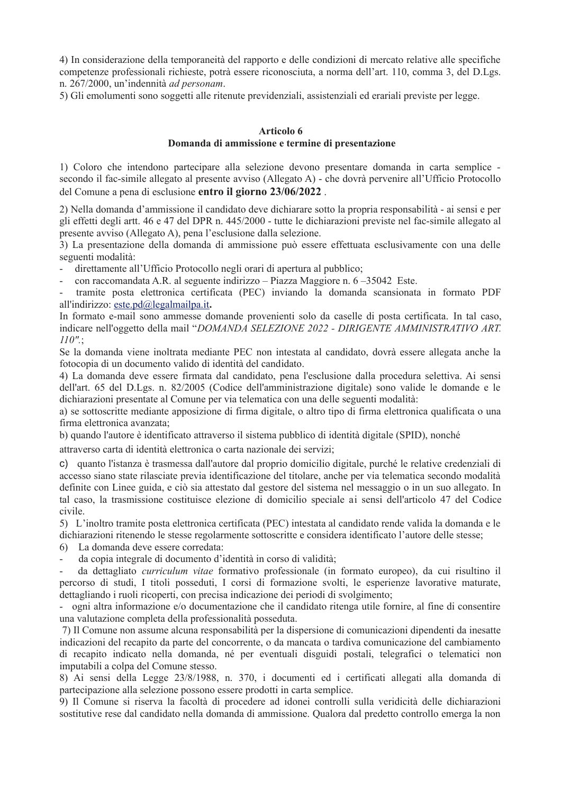4) In considerazione della temporaneità del rapporto e delle condizioni di mercato relative alle specifiche competenze professionali richieste, potrà essere riconosciuta, a norma dell'art. 110, comma 3, del D.Lgs. n. 267/2000, un'indennità ad personam.

5) Gli emolumenti sono soggetti alle ritenute previdenziali, assistenziali ed erariali previste per legge.

#### Articolo 6

## Domanda di ammissione e termine di presentazione

1) Coloro che intendono partecipare alla selezione devono presentare domanda in carta semplice secondo il fac-simile allegato al presente avviso (Allegato A) - che dovrà pervenire all'Ufficio Protocollo del Comune a pena di esclusione entro il giorno 23/06/2022.

2) Nella domanda d'ammissione il candidato deve dichiarare sotto la propria responsabilità - ai sensi e per gli effetti degli artt. 46 e 47 del DPR n. 445/2000 - tutte le dichiarazioni previste nel fac-simile allegato al presente avviso (Allegato A), pena l'esclusione dalla selezione.

3) La presentazione della domanda di ammissione può essere effettuata esclusivamente con una delle seguenti modalità:

direttamente all'Ufficio Protocollo negli orari di apertura al pubblico;

con raccomandata A.R. al seguente indirizzo – Piazza Maggiore n. 6 – 35042 Este.

tramite posta elettronica certificata (PEC) inviando la domanda scansionata in formato PDF all'indirizzo: este.pd@legalmailpa.it.

In formato e-mail sono ammesse domande provenienti solo da caselle di posta certificata. In tal caso, indicare nell'oggetto della mail "DOMANDA SELEZIONE 2022 - DIRIGENTE AMMINISTRATIVO ART.  $110".$ 

Se la domanda viene inoltrata mediante PEC non intestata al candidato, dovrà essere allegata anche la fotocopia di un documento valido di identità del candidato.

4) La domanda deve essere firmata dal candidato, pena l'esclusione dalla procedura selettiva. Ai sensi dell'art. 65 del D.Lgs. n. 82/2005 (Codice dell'amministrazione digitale) sono valide le domande e le dichiarazioni presentate al Comune per via telematica con una delle seguenti modalità:

a) se sottoscritte mediante apposizione di firma digitale, o altro tipo di firma elettronica qualificata o una firma elettronica avanzata:

b) quando l'autore è identificato attraverso il sistema pubblico di identità digitale (SPID), nonché

attraverso carta di identità elettronica o carta nazionale dei servizi:

c) quanto l'istanza è trasmessa dall'autore dal proprio domicilio digitale, purché le relative credenziali di accesso siano state rilasciate previa identificazione del titolare, anche per via telematica secondo modalità definite con Linee guida, e ciò sia attestato dal gestore del sistema nel messaggio o in un suo allegato. In tal caso, la trasmissione costituisce elezione di domicilio speciale ai sensi dell'articolo 47 del Codice civile.

5) L'inoltro tramite posta elettronica certificata (PEC) intestata al candidato rende valida la domanda e le dichiarazioni ritenendo le stesse regolarmente sottoscritte e considera identificato l'autore delle stesse;

La domanda deve essere corredata: 6)

da copia integrale di documento d'identità in corso di validità;

da dettagliato *curriculum vitae* formativo professionale (in formato europeo), da cui risultino il percorso di studi, I titoli posseduti, I corsi di formazione svolti, le esperienze lavorative maturate, dettagliando i ruoli ricoperti, con precisa indicazione dei periodi di svolgimento;

ogni altra informazione e/o documentazione che il candidato ritenga utile fornire, al fine di consentire una valutazione completa della professionalità posseduta.

7) Il Comune non assume alcuna responsabilità per la dispersione di comunicazioni dipendenti da inesatte indicazioni del recapito da parte del concorrente, o da mancata o tardiva comunicazione del cambiamento di recapito indicato nella domanda, né per eventuali disguidi postali, telegrafici o telematici non imputabili a colpa del Comune stesso.

8) Ai sensi della Legge 23/8/1988, n. 370, i documenti ed i certificati allegati alla domanda di partecipazione alla selezione possono essere prodotti in carta semplice.

9) Il Comune si riserva la facoltà di procedere ad idonei controlli sulla veridicità delle dichiarazioni sostitutive rese dal candidato nella domanda di ammissione. Qualora dal predetto controllo emerga la non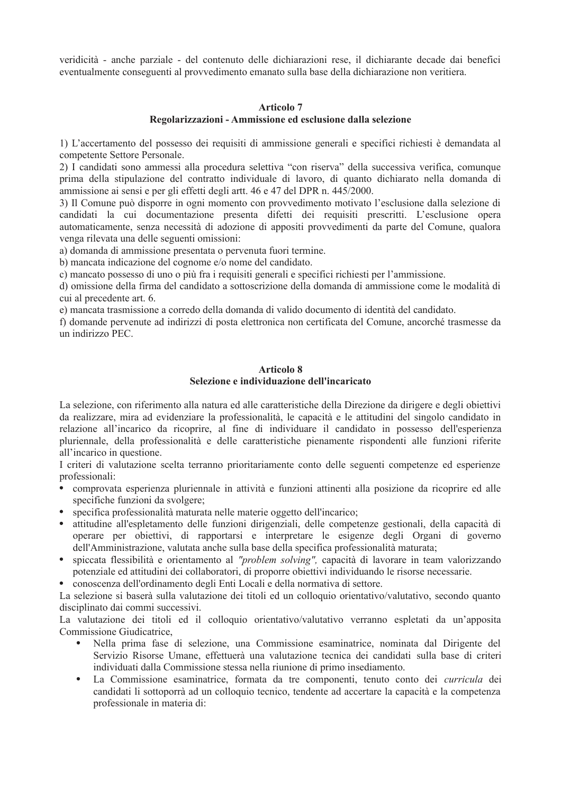veridicità - anche parziale - del contenuto delle dichiarazioni rese, il dichiarante decade dai benefici eventualmente conseguenti al provvedimento emanato sulla base della dichiarazione non veritiera.

# **Articolo 7**

### Regolarizzazioni - Ammissione ed esclusione dalla selezione

1) L'accertamento del possesso dei requisiti di ammissione generali e specifici richiesti è demandata al competente Settore Personale.

2) I candidati sono ammessi alla procedura selettiva "con riserva" della successiva verifica, comunque prima della stipulazione del contratto individuale di lavoro, di quanto dichiarato nella domanda di ammissione ai sensi e per gli effetti degli artt. 46 e 47 del DPR n. 445/2000.

3) Il Comune può disporre in ogni momento con provvedimento motivato l'esclusione dalla selezione di candidati la cui documentazione presenta difetti dei requisiti prescritti. L'esclusione opera automaticamente, senza necessità di adozione di appositi provvedimenti da parte del Comune, qualora venga rilevata una delle seguenti omissioni:

a) domanda di ammissione presentata o pervenuta fuori termine.

b) mancata indicazione del cognome e/o nome del candidato.

c) mancato possesso di uno o più fra i requisiti generali e specifici richiesti per l'ammissione.

d) omissione della firma del candidato a sottoscrizione della domanda di ammissione come le modalità di cui al precedente art. 6.

e) mancata trasmissione a corredo della domanda di valido documento di identità del candidato.

f) domande pervenute ad indirizzi di posta elettronica non certificata del Comune, ancorché trasmesse da un indirizzo PEC.

# **Articolo 8**

# Selezione e individuazione dell'incaricato

La selezione, con riferimento alla natura ed alle caratteristiche della Direzione da dirigere e degli obiettivi da realizzare, mira ad evidenziare la professionalità, le capacità e le attitudini del singolo candidato in relazione all'incarico da ricoprire, al fine di individuare il candidato in possesso dell'esperienza pluriennale, della professionalità e delle caratteristiche pienamente rispondenti alle funzioni riferite all'incarico in questione.

I criteri di valutazione scelta terranno prioritariamente conto delle seguenti competenze ed esperienze professionali:

- comprovata esperienza pluriennale in attività e funzioni attinenti alla posizione da ricoprire ed alle specifiche funzioni da svolgere;
- specifica professionalità maturata nelle materie oggetto dell'incarico;  $\bullet$
- attitudine all'espletamento delle funzioni dirigenziali, delle competenze gestionali, della capacità di operare per objettivi, di rapportarsi e interpretare le esigenze degli Organi di governo dell'Amministrazione, valutata anche sulla base della specifica professionalità maturata;
- · spiccata flessibilità e orientamento al "problem solving", capacità di lavorare in team valorizzando potenziale ed attitudini dei collaboratori, di proporre obiettivi individuando le risorse necessarie.
- conoscenza dell'ordinamento degli Enti Locali e della normativa di settore.

La selezione si baserà sulla valutazione dei titoli ed un colloquio orientativo/valutativo, secondo quanto disciplinato dai commi successivi.

La valutazione dei titoli ed il colloquio orientativo/valutativo verranno espletati da un'apposita Commissione Giudicatrice,

- Nella prima fase di selezione, una Commissione esaminatrice, nominata dal Dirigente del Servizio Risorse Umane, effettuerà una valutazione tecnica dei candidati sulla base di criteri individuati dalla Commissione stessa nella riunione di primo insediamento.
- $\bullet$  . La Commissione esaminatrice, formata da tre componenti, tenuto conto dei *curricula* dei candidati li sottoporrà ad un colloquio tecnico, tendente ad accertare la capacità e la competenza professionale in materia di: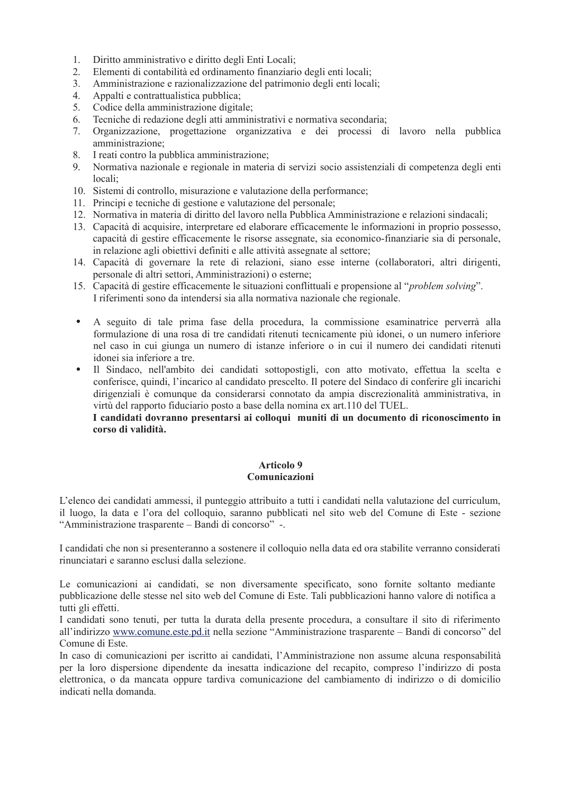- $1.$ Diritto amministrativo e diritto degli Enti Locali;
- $2.$ Elementi di contabilità ed ordinamento finanziario degli enti locali:
- Amministrazione e razionalizzazione del patrimonio degli enti locali;  $\mathcal{E}$
- $\overline{4}$ . Appalti e contrattualistica pubblica;
- 5. Codice della amministrazione digitale;
- Tecniche di redazione degli atti amministrativi e normativa secondaria; 6.
- $7.$ Organizzazione, progettazione organizzativa e dei processi di lavoro nella pubblica amministrazione:
- 8. I reati contro la pubblica amministrazione;
- Normativa nazionale e regionale in materia di servizi socio assistenziali di competenza degli enti  $9<sub>1</sub>$ locali;
- 10. Sistemi di controllo, misurazione e valutazione della performance;
- 11. Principi e tecniche di gestione e valutazione del personale;
- 12. Normativa in materia di diritto del lavoro nella Pubblica Amministrazione e relazioni sindacali;
- 13. Capacità di acquisire, interpretare ed elaborare efficacemente le informazioni in proprio possesso, capacità di gestire efficacemente le risorse assegnate, sia economico-finanziarie sia di personale, in relazione agli obiettivi definiti e alle attività assegnate al settore;
- 14. Capacità di governare la rete di relazioni, siano esse interne (collaboratori, altri dirigenti, personale di altri settori, Amministrazioni) o esterne;
- 15. Capacità di gestire efficacemente le situazioni conflittuali e propensione al "*problem solving*". I riferimenti sono da intendersi sia alla normativa nazionale che regionale.
- $\bullet$  . A seguito di tale prima fase della procedura, la commissione esaminatrice perverrà alla formulazione di una rosa di tre candidati ritenuti tecnicamente più idonei, o un numero inferiore nel caso in cui giunga un numero di istanze inferiore o in cui il numero dei candidati ritenuti idonei sia inferiore a tre
- Il Sindaco, nell'ambito dei candidati sottopostigli, con atto motivato, effettua la scelta e conferisce, quindi, l'incarico al candidato prescelto. Il potere del Sindaco di conferire gli incarichi dirigenziali è comunque da considerarsi connotato da ampia discrezionalità amministrativa, in virtù del rapporto fiduciario posto a base della nomina ex art.110 del TUEL.

I candidati dovranno presentarsi ai colloqui muniti di un documento di riconoscimento in corso di validità.

## Articolo 9 Comunicazioni

L'elenco dei candidati ammessi, il punteggio attribuito a tutti i candidati nella valutazione del curriculum, il luogo, la data e l'ora del colloquio, saranno pubblicati nel sito web del Comune di Este - sezione "Amministrazione trasparente – Bandi di concorso" -.

I candidati che non si presenteranno a sostenere il colloquio nella data ed ora stabilite verranno considerati rinunciatari e saranno esclusi dalla selezione.

Le comunicazioni ai candidati, se non diversamente specificato, sono fornite soltanto mediante pubblicazione delle stesse nel sito web del Comune di Este. Tali pubblicazioni hanno valore di notifica a tutti gli effetti.

I candidati sono tenuti, per tutta la durata della presente procedura, a consultare il sito di riferimento all'indirizzo www.comune.este.pd.it nella sezione "Amministrazione trasparente – Bandi di concorso" del Comune di Este.

In caso di comunicazioni per iscritto ai candidati, l'Amministrazione non assume alcuna responsabilità per la loro dispersione dipendente da inesatta indicazione del recapito, compreso l'indirizzo di posta elettronica, o da mancata oppure tardiva comunicazione del cambiamento di indirizzo o di domicilio indicati nella domanda.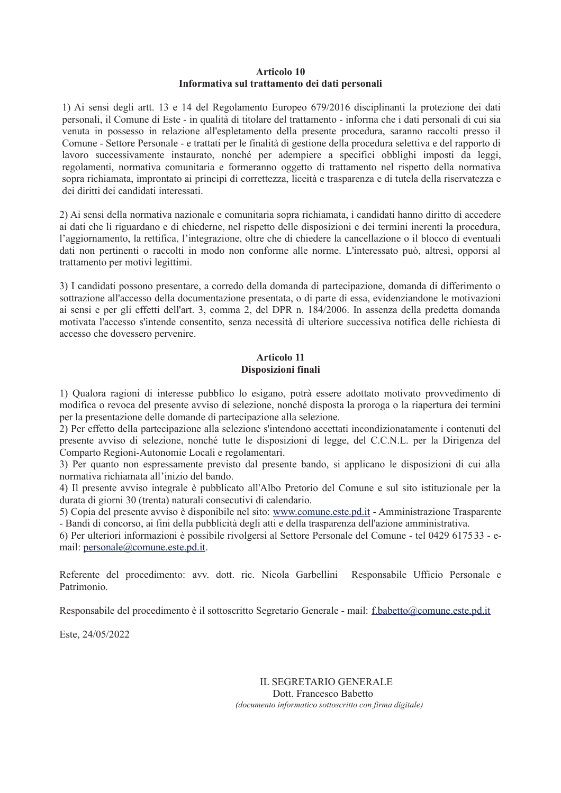#### Articolo 10 Informativa sul trattamento dei dati personali

1) Ai sensi degli artt. 13 e 14 del Regolamento Europeo 679/2016 disciplinanti la protezione dei dati personali, il Comune di Este - in qualità di titolare del trattamento - informa che i dati personali di cui sia venuta in possesso in relazione all'espletamento della presente procedura, saranno raccolti presso il Comune - Settore Personale - e trattati per le finalità di gestione della procedura selettiva e del rapporto di lavoro successivamente instaurato, nonché per adempiere a specifici obblighi imposti da leggi, regolamenti, normativa comunitaria e formeranno oggetto di trattamento nel rispetto della normativa sopra richiamata, improntato ai principi di correttezza, liceità e trasparenza e di tutela della riservatezza e dei diritti dei candidati interessati.

2) Ai sensi della normativa nazionale e comunitaria sopra richiamata, i candidati hanno diritto di accedere ai dati che li riguardano e di chiederne, nel rispetto delle disposizioni e dei termini inerenti la procedura, l'aggiornamento, la rettifica, l'integrazione, oltre che di chiedere la cancellazione o il blocco di eventuali dati non pertinenti o raccolti in modo non conforme alle norme. L'interessato può, altresì, opporsi al trattamento per motivi legittimi.

3) I candidati possono presentare, a corredo della domanda di partecipazione, domanda di differimento o sottrazione all'accesso della documentazione presentata, o di parte di essa, evidenziandone le motivazioni ai sensi e per gli effetti dell'art. 3, comma 2, del DPR n. 184/2006. In assenza della predetta domanda motivata l'accesso s'intende consentito, senza necessità di ulteriore successiva notifica delle richiesta di accesso che dovessero pervenire.

# Articolo 11 Disposizioni finali

1) Qualora ragioni di interesse pubblico lo esigano, potrà essere adottato motivato provvedimento di modifica o revoca del presente avviso di selezione, nonché disposta la proroga o la riapertura dei termini per la presentazione delle domande di partecipazione alla selezione.

2) Per effetto della partecipazione alla selezione s'intendono accettati incondizionatamente i contenuti del presente avviso di selezione, nonché tutte le disposizioni di legge, del C.C.N.L. per la Dirigenza del Comparto Regioni-Autonomie Locali e regolamentari.

3) Per quanto non espressamente previsto dal presente bando, si applicano le disposizioni di cui alla normativa richiamata all'inizio del bando.

4) Il presente avviso integrale è pubblicato all'Albo Pretorio del Comune e sul sito istituzionale per la durata di giorni 30 (trenta) naturali consecutivi di calendario.

5) Copia del presente avviso è disponibile nel sito: www.comune.este.pd.it - Amministrazione Trasparente - Bandi di concorso, ai fini della pubblicità degli atti e della trasparenza dell'azione amministrativa.

6) Per ulteriori informazioni è possibile rivolgersi al Settore Personale del Comune - tel 0429 617533 - email: personale@comune.este.pd.it.

Referente del procedimento: avv. dott. ric. Nicola Garbellini Responsabile Ufficio Personale e Patrimonio.

Responsabile del procedimento è il sottoscritto Segretario Generale - mail: f.babetto@comune.este.pd.it

Este, 24/05/2022

**IL SEGRETARIO GENERALE** Dott. Francesco Babetto (documento informatico sottoscritto con firma digitale)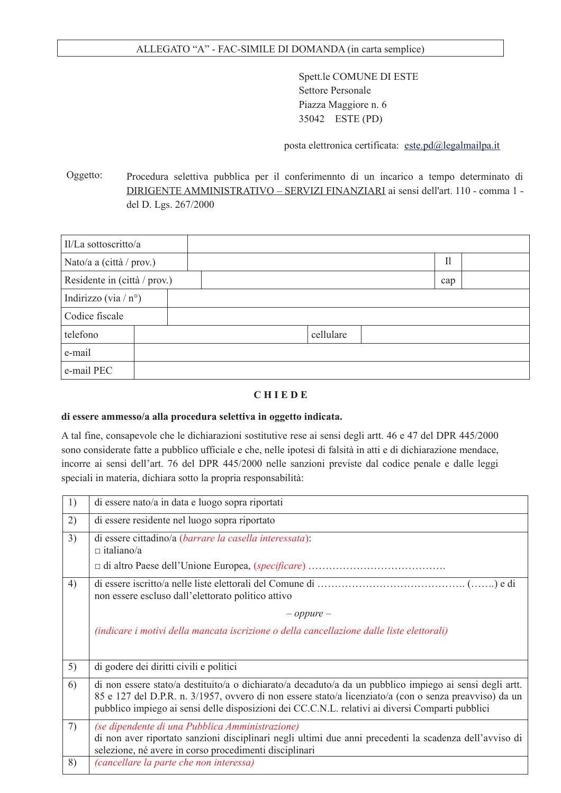# ALLEGATO "A" - FAC-SIMILE DI DOMANDA (in carta semplice)

Spett.le COMUNE DI ESTE **Settore Personale** Piazza Maggiore n. 6 35042 ESTE (PD)

posta elettronica certificata: este.pd@legalmailpa.it

Oggetto: Procedura selettiva pubblica per il conferimennto di un incarico a tempo determinato di DIRIGENTE AMMINISTRATIVO - SERVIZI FINANZIARI ai sensi dell'art. 110 - comma 1 del D. Lgs. 267/2000

| Il/La sottoscritto/a           |  |  |  |           |              |  |
|--------------------------------|--|--|--|-----------|--------------|--|
| Nato/a a (città / prov.)       |  |  |  |           | $\mathbf{I}$ |  |
| Residente in (città / prov.)   |  |  |  |           | cap          |  |
| Indirizzo (via / $n^{\circ}$ ) |  |  |  |           |              |  |
| Codice fiscale                 |  |  |  |           |              |  |
| telefono                       |  |  |  | cellulare |              |  |
| e-mail                         |  |  |  |           |              |  |
| e-mail PEC                     |  |  |  |           |              |  |

#### **CHIEDE**

#### di essere ammesso/a alla procedura selettiva in oggetto indicata.

A tal fine, consapevole che le dichiarazioni sostitutive rese ai sensi degli artt. 46 e 47 del DPR 445/2000 sono considerate fatte a pubblico ufficiale e che, nelle ipotesi di falsità in atti e di dichiarazione mendace, incorre ai sensi dell'art. 76 del DPR 445/2000 nelle sanzioni previste dal codice penale e dalle leggi speciali in materia, dichiara sotto la propria responsabilità:

| 1) | di essere nato/a in data e luogo sopra riportati                                                                                                                                                                                                                                                                       |
|----|------------------------------------------------------------------------------------------------------------------------------------------------------------------------------------------------------------------------------------------------------------------------------------------------------------------------|
| 2) | di essere residente nel luogo sopra riportato                                                                                                                                                                                                                                                                          |
| 3) | di essere cittadino/a (barrare la casella interessata):<br>$\Box$ italiano/a                                                                                                                                                                                                                                           |
|    |                                                                                                                                                                                                                                                                                                                        |
| 4) | non essere escluso dall'elettorato politico attivo                                                                                                                                                                                                                                                                     |
|    | $-$ oppure $-$                                                                                                                                                                                                                                                                                                         |
|    | (indicare i motivi della mancata iscrizione o della cancellazione dalle liste elettorali)                                                                                                                                                                                                                              |
| 5) | di godere dei diritti civili e politici                                                                                                                                                                                                                                                                                |
| 6) | di non essere stato/a destituito/a o dichiarato/a decaduto/a da un pubblico impiego ai sensi degli artt.<br>85 e 127 del D.P.R. n. 3/1957, ovvero di non essere stato/a licenziato/a (con o senza preavviso) da un<br>pubblico impiego ai sensi delle disposizioni dei CC.C.N.L. relativi ai diversi Comparti pubblici |
| 7) | (se dipendente di una Pubblica Amministrazione)<br>di non aver riportato sanzioni disciplinari negli ultimi due anni precedenti la scadenza dell'avviso di<br>selezione, né avere in corso procedimenti disciplinari                                                                                                   |
| 8) | (cancellare la parte che non interessa)                                                                                                                                                                                                                                                                                |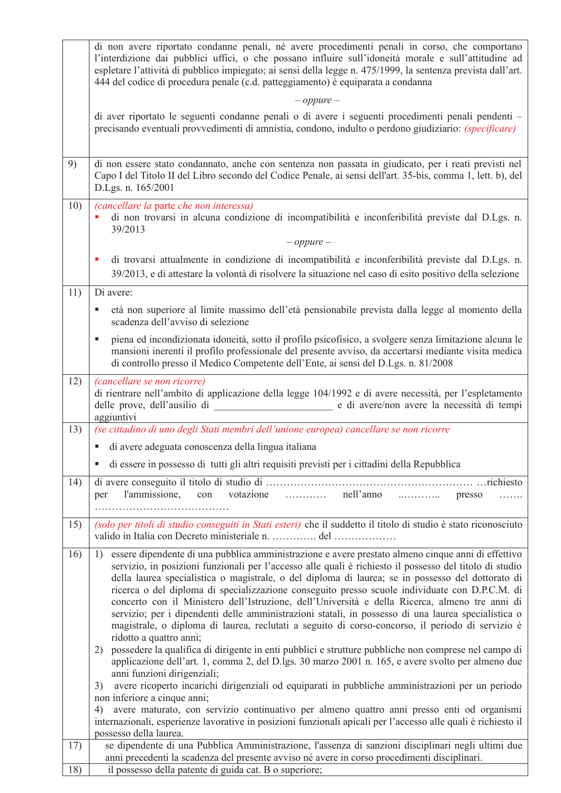|     | di non avere riportato condanne penali, né avere procedimenti penali in corso, che comportano<br>l'interdizione dai pubblici uffici, o che possano influire sull'idoneità morale e sull'attitudine ad<br>espletare l'attività di pubblico impiegato; ai sensi della legge n. 475/1999, la sentenza prevista dall'art.<br>444 del codice di procedura penale (c.d. patteggiamento) è equiparata a condanna                                                                                                                                                                                                                                                                                                                                                          |
|-----|--------------------------------------------------------------------------------------------------------------------------------------------------------------------------------------------------------------------------------------------------------------------------------------------------------------------------------------------------------------------------------------------------------------------------------------------------------------------------------------------------------------------------------------------------------------------------------------------------------------------------------------------------------------------------------------------------------------------------------------------------------------------|
|     | $-$ oppure $-$                                                                                                                                                                                                                                                                                                                                                                                                                                                                                                                                                                                                                                                                                                                                                     |
|     | di aver riportato le seguenti condanne penali o di avere i seguenti procedimenti penali pendenti –<br>precisando eventuali provvedimenti di amnistia, condono, indulto o perdono giudiziario: (specificare)                                                                                                                                                                                                                                                                                                                                                                                                                                                                                                                                                        |
| 9)  | di non essere stato condannato, anche con sentenza non passata in giudicato, per i reati previsti nel<br>Capo I del Titolo II del Libro secondo del Codice Penale, ai sensi dell'art. 35-bis, comma 1, lett. b), del<br>D.Lgs. n. 165/2001                                                                                                                                                                                                                                                                                                                                                                                                                                                                                                                         |
| 10) | (cancellare la parte che non interessa)<br>di non trovarsi in alcuna condizione di incompatibilità e inconferibilità previste dal D.Lgs. n.<br>39/2013<br>$-$ oppure $-$                                                                                                                                                                                                                                                                                                                                                                                                                                                                                                                                                                                           |
|     |                                                                                                                                                                                                                                                                                                                                                                                                                                                                                                                                                                                                                                                                                                                                                                    |
|     | di trovarsi attualmente in condizione di incompatibilità e inconferibilità previste dal D.Lgs. n.<br>39/2013, e di attestare la volontà di risolvere la situazione nel caso di esito positivo della selezione                                                                                                                                                                                                                                                                                                                                                                                                                                                                                                                                                      |
| 11) | Di avere:                                                                                                                                                                                                                                                                                                                                                                                                                                                                                                                                                                                                                                                                                                                                                          |
|     | età non superiore al limite massimo dell'età pensionabile prevista dalla legge al momento della<br>Е<br>scadenza dell'avviso di selezione                                                                                                                                                                                                                                                                                                                                                                                                                                                                                                                                                                                                                          |
|     | piena ed incondizionata idoneità, sotto il profilo psicofísico, a svolgere senza limitazione alcuna le<br>mansioni inerenti il profilo professionale del presente avviso, da accertarsi mediante visita medica<br>di controllo presso il Medico Competente dell'Ente, ai sensi del D.Lgs. n. 81/2008                                                                                                                                                                                                                                                                                                                                                                                                                                                               |
| 12) | <i>(cancellare se non ricorre)</i><br>di rientrare nell'ambito di applicazione della legge 104/1992 e di avere necessità, per l'espletamento<br>aggiuntivi                                                                                                                                                                                                                                                                                                                                                                                                                                                                                                                                                                                                         |
| 13) | (se cittadino di uno degli Stati membri dell'unione europea) cancellare se non ricorre                                                                                                                                                                                                                                                                                                                                                                                                                                                                                                                                                                                                                                                                             |
|     | di avere adeguata conoscenza della lingua italiana                                                                                                                                                                                                                                                                                                                                                                                                                                                                                                                                                                                                                                                                                                                 |
|     | di essere in possesso di tutti gli altri requisiti previsti per i cittadini della Repubblica                                                                                                                                                                                                                                                                                                                                                                                                                                                                                                                                                                                                                                                                       |
| 14) | votazione<br>nell'anno<br>l'ammissione,<br>con<br>per<br>presso<br>.                                                                                                                                                                                                                                                                                                                                                                                                                                                                                                                                                                                                                                                                                               |
| 15) | (solo per titoli di studio conseguiti in Stati esteri) che il suddetto il titolo di studio è stato riconosciuto<br>valido in Italia con Decreto ministeriale n.  del                                                                                                                                                                                                                                                                                                                                                                                                                                                                                                                                                                                               |
| 16) | essere dipendente di una pubblica amministrazione e avere prestato almeno cinque anni di effettivo<br>1)<br>servizio, in posizioni funzionali per l'accesso alle quali è richiesto il possesso del titolo di studio<br>della laurea specialistica o magistrale, o del diploma di laurea; se in possesso del dottorato di<br>ricerca o del diploma di specializzazione conseguito presso scuole individuate con D.P.C.M. di<br>concerto con il Ministero dell'Istruzione, dell'Università e della Ricerca, almeno tre anni di<br>servizio; per i dipendenti delle amministrazioni statali, in possesso di una laurea specialistica o<br>magistrale, o diploma di laurea, reclutati a seguito di corso-concorso, il periodo di servizio è<br>ridotto a quattro anni; |
|     | possedere la qualifica di dirigente in enti pubblici e strutture pubbliche non comprese nel campo di<br>2)<br>applicazione dell'art. 1, comma 2, del D.lgs. 30 marzo 2001 n. 165, e avere svolto per almeno due<br>anni funzioni dirigenziali;                                                                                                                                                                                                                                                                                                                                                                                                                                                                                                                     |
|     | avere ricoperto incarichi dirigenziali od equiparati in pubbliche amministrazioni per un periodo<br>3)<br>non inferiore a cinque anni;                                                                                                                                                                                                                                                                                                                                                                                                                                                                                                                                                                                                                             |
|     | avere maturato, con servizio continuativo per almeno quattro anni presso enti od organismi<br>4)                                                                                                                                                                                                                                                                                                                                                                                                                                                                                                                                                                                                                                                                   |
|     | internazionali, esperienze lavorative in posizioni funzionali apicali per l'accesso alle quali è richiesto il                                                                                                                                                                                                                                                                                                                                                                                                                                                                                                                                                                                                                                                      |
|     | possesso della laurea.                                                                                                                                                                                                                                                                                                                                                                                                                                                                                                                                                                                                                                                                                                                                             |
| 17) | se dipendente di una Pubblica Amministrazione, l'assenza di sanzioni disciplinari negli ultimi due<br>anni precedenti la scadenza del presente avviso né avere in corso procedimenti disciplinari.                                                                                                                                                                                                                                                                                                                                                                                                                                                                                                                                                                 |
| 18) | il possesso della patente di guida cat. B o superiore;                                                                                                                                                                                                                                                                                                                                                                                                                                                                                                                                                                                                                                                                                                             |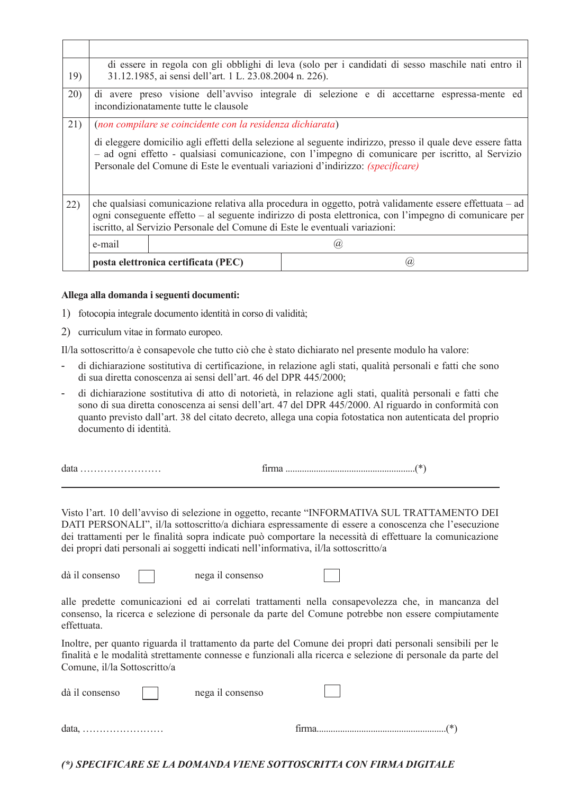|     |                                                                             | di essere in regola con gli obblighi di leva (solo per i candidati di sesso maschile nati entro il<br>31.12.1985, ai sensi dell'art. 1 L. 23.08.2004 n. 226).                                                                                                                                               |                                                                                                          |  |  |  |  |  |
|-----|-----------------------------------------------------------------------------|-------------------------------------------------------------------------------------------------------------------------------------------------------------------------------------------------------------------------------------------------------------------------------------------------------------|----------------------------------------------------------------------------------------------------------|--|--|--|--|--|
| 19) |                                                                             |                                                                                                                                                                                                                                                                                                             |                                                                                                          |  |  |  |  |  |
| 20) |                                                                             | incondizionatamente tutte le clausole                                                                                                                                                                                                                                                                       | di avere preso visione dell'avviso integrale di selezione e di accettarne espressa-mente ed              |  |  |  |  |  |
| 21) |                                                                             | (non compilare se coincidente con la residenza dichiarata)                                                                                                                                                                                                                                                  |                                                                                                          |  |  |  |  |  |
|     |                                                                             | di eleggere domicilio agli effetti della selezione al seguente indirizzo, presso il quale deve essere fatta<br>- ad ogni effetto - qualsiasi comunicazione, con l'impegno di comunicare per iscritto, al Servizio<br>Personale del Comune di Este le eventuali variazioni d'indirizzo: <i>(specificare)</i> |                                                                                                          |  |  |  |  |  |
| 22) |                                                                             |                                                                                                                                                                                                                                                                                                             | che qualsiasi comunicazione relativa alla procedura in oggetto, potrà validamente essere effettuata - ad |  |  |  |  |  |
|     |                                                                             | ogni conseguente effetto - al seguente indirizzo di posta elettronica, con l'impegno di comunicare per                                                                                                                                                                                                      |                                                                                                          |  |  |  |  |  |
|     | iscritto, al Servizio Personale del Comune di Este le eventuali variazioni: |                                                                                                                                                                                                                                                                                                             |                                                                                                          |  |  |  |  |  |
|     | e-mail                                                                      |                                                                                                                                                                                                                                                                                                             | 'a                                                                                                       |  |  |  |  |  |
|     |                                                                             | posta elettronica certificata (PEC)                                                                                                                                                                                                                                                                         | Ιa                                                                                                       |  |  |  |  |  |

#### Allega alla domanda i seguenti documenti:

- 1) fotocopia integrale documento identità in corso di validità;
- 2) curriculum vitae in formato europeo.

Il/la sottoscritto/a è consapevole che tutto ciò che è stato dichiarato nel presente modulo ha valore:

- di dichiarazione sostitutiva di certificazione, in relazione agli stati, qualità personali e fatti che sono di sua diretta conoscenza ai sensi dell'art. 46 del DPR 445/2000:
- di dichiarazione sostitutiva di atto di notorietà, in relazione agli stati, qualità personali e fatti che sono di sua diretta conoscenza ai sensi dell'art. 47 del DPR 445/2000. Al riguardo in conformità con quanto previsto dall'art. 38 del citato decreto, allega una copia fotostatica non autenticata del proprio documento di identità.

 $data$ ........................

Visto l'art. 10 dell'avviso di selezione in oggetto, recante "INFORMATIVA SUL TRATTAMENTO DEI DATI PERSONALI", il/la sottoscritto/a dichiara espressamente di essere a conoscenza che l'esecuzione dei trattamenti per le finalità sopra indicate può comportare la necessità di effettuare la comunicazione dei propri dati personali ai soggetti indicati nell'informativa, il/la sottoscritto/a

dà il consenso

nega il consenso

alle predette comunicazioni ed ai correlati trattamenti nella consapevolezza che, in mancanza del consenso, la ricerca e selezione di personale da parte del Comune potrebbe non essere compiutamente effettuata.

Inoltre, per quanto riguarda il trattamento da parte del Comune dei propri dati personali sensibili per le finalità e le modalità strettamente connesse e funzionali alla ricerca e selezione di personale da parte del Comune. il/la Sottoscritto/a

| $data, \ldots, \ldots, \ldots, \ldots, \ldots, \ldots$ |                  | $(*)$ |
|--------------------------------------------------------|------------------|-------|
| dà il consenso                                         | nega il consenso |       |

(\*) SPECIFICARE SE LA DOMANDA VIENE SOTTOSCRITTA CON FIRMA DIGITALE